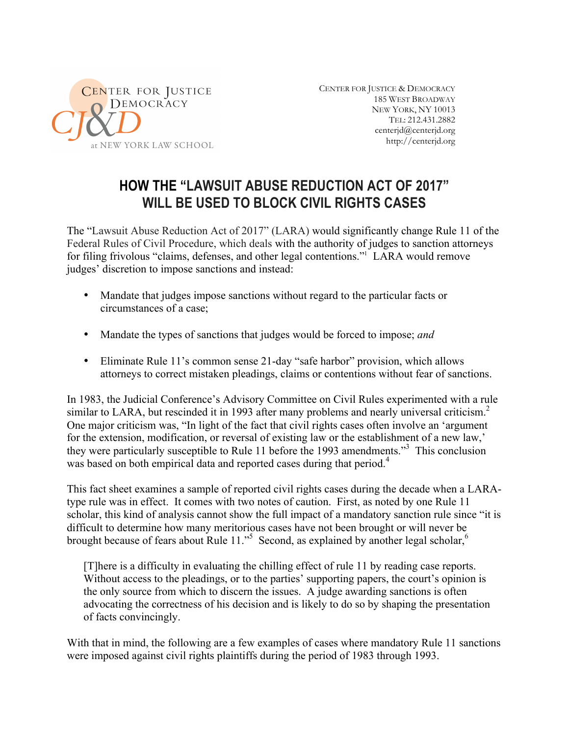

CENTER FOR JUSTICE & DEMOCRACY 185 WEST BROADWAY NEW YORK, NY 10013 TEL: 212.431.2882 centerjd@centerjd.org http://centerjd.org

# **HOW THE "LAWSUIT ABUSE REDUCTION ACT OF 2017" WILL BE USED TO BLOCK CIVIL RIGHTS CASES**

The "Lawsuit Abuse Reduction Act of 2017" (LARA) would significantly change Rule 11 of the Federal Rules of Civil Procedure, which deals with the authority of judges to sanction attorneys for filing frivolous "claims, defenses, and other legal contentions."1 LARA would remove judges' discretion to impose sanctions and instead:

- Mandate that judges impose sanctions without regard to the particular facts or circumstances of a case;
- Mandate the types of sanctions that judges would be forced to impose; *and*
- Eliminate Rule 11's common sense 21-day "safe harbor" provision, which allows attorneys to correct mistaken pleadings, claims or contentions without fear of sanctions.

In 1983, the Judicial Conference's Advisory Committee on Civil Rules experimented with a rule similar to LARA, but rescinded it in 1993 after many problems and nearly universal criticism.<sup>2</sup> One major criticism was, "In light of the fact that civil rights cases often involve an 'argument for the extension, modification, or reversal of existing law or the establishment of a new law,' they were particularly susceptible to Rule 11 before the 1993 amendments.<sup>33</sup> This conclusion was based on both empirical data and reported cases during that period.<sup>4</sup>

This fact sheet examines a sample of reported civil rights cases during the decade when a LARAtype rule was in effect. It comes with two notes of caution. First, as noted by one Rule 11 scholar, this kind of analysis cannot show the full impact of a mandatory sanction rule since "it is difficult to determine how many meritorious cases have not been brought or will never be brought because of fears about Rule 11."<sup>5</sup> Second, as explained by another legal scholar,<sup>6</sup>

[T]here is a difficulty in evaluating the chilling effect of rule 11 by reading case reports. Without access to the pleadings, or to the parties' supporting papers, the court's opinion is the only source from which to discern the issues. A judge awarding sanctions is often advocating the correctness of his decision and is likely to do so by shaping the presentation of facts convincingly.

With that in mind, the following are a few examples of cases where mandatory Rule 11 sanctions were imposed against civil rights plaintiffs during the period of 1983 through 1993.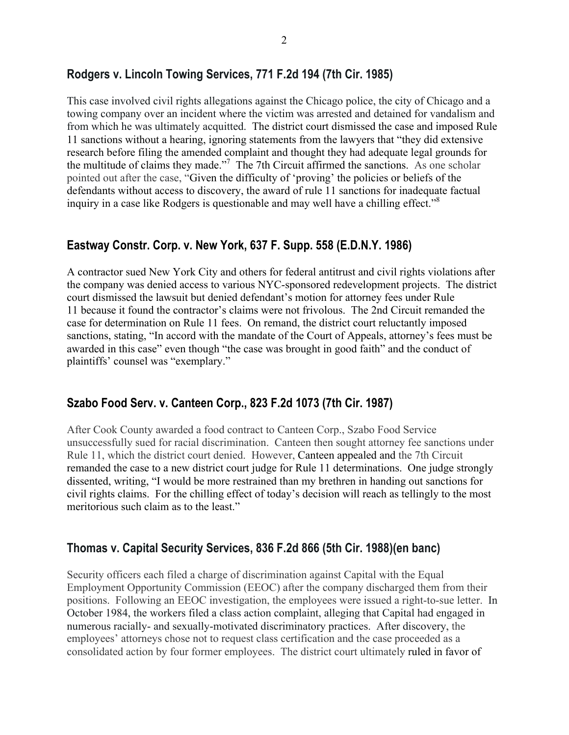## **Rodgers v. Lincoln Towing Services, 771 F.2d 194 (7th Cir. 1985)**

This case involved civil rights allegations against the Chicago police, the city of Chicago and a towing company over an incident where the victim was arrested and detained for vandalism and from which he was ultimately acquitted. The district court dismissed the case and imposed Rule 11 sanctions without a hearing, ignoring statements from the lawyers that "they did extensive research before filing the amended complaint and thought they had adequate legal grounds for the multitude of claims they made."<sup>7</sup> The 7th Circuit affirmed the sanctions. As one scholar pointed out after the case, "Given the difficulty of 'proving' the policies or beliefs of the defendants without access to discovery, the award of rule 11 sanctions for inadequate factual inquiry in a case like Rodgers is questionable and may well have a chilling effect."<sup>8</sup>

#### **Eastway Constr. Corp. v. New York, 637 F. Supp. 558 (E.D.N.Y. 1986)**

A contractor sued New York City and others for federal antitrust and civil rights violations after the company was denied access to various NYC-sponsored redevelopment projects. The district court dismissed the lawsuit but denied defendant's motion for attorney fees under Rule 11 because it found the contractor's claims were not frivolous. The 2nd Circuit remanded the case for determination on Rule 11 fees. On remand, the district court reluctantly imposed sanctions, stating, "In accord with the mandate of the Court of Appeals, attorney's fees must be awarded in this case" even though "the case was brought in good faith" and the conduct of plaintiffs' counsel was "exemplary."

#### **Szabo Food Serv. v. Canteen Corp., 823 F.2d 1073 (7th Cir. 1987)**

After Cook County awarded a food contract to Canteen Corp., Szabo Food Service unsuccessfully sued for racial discrimination. Canteen then sought attorney fee sanctions under Rule 11, which the district court denied. However, Canteen appealed and the 7th Circuit remanded the case to a new district court judge for Rule 11 determinations. One judge strongly dissented, writing, "I would be more restrained than my brethren in handing out sanctions for civil rights claims. For the chilling effect of today's decision will reach as tellingly to the most meritorious such claim as to the least."

## **Thomas v. Capital Security Services, 836 F.2d 866 (5th Cir. 1988)(en banc)**

Security officers each filed a charge of discrimination against Capital with the Equal Employment Opportunity Commission (EEOC) after the company discharged them from their positions. Following an EEOC investigation, the employees were issued a right-to-sue letter. In October 1984, the workers filed a class action complaint, alleging that Capital had engaged in numerous racially- and sexually-motivated discriminatory practices. After discovery, the employees' attorneys chose not to request class certification and the case proceeded as a consolidated action by four former employees. The district court ultimately ruled in favor of